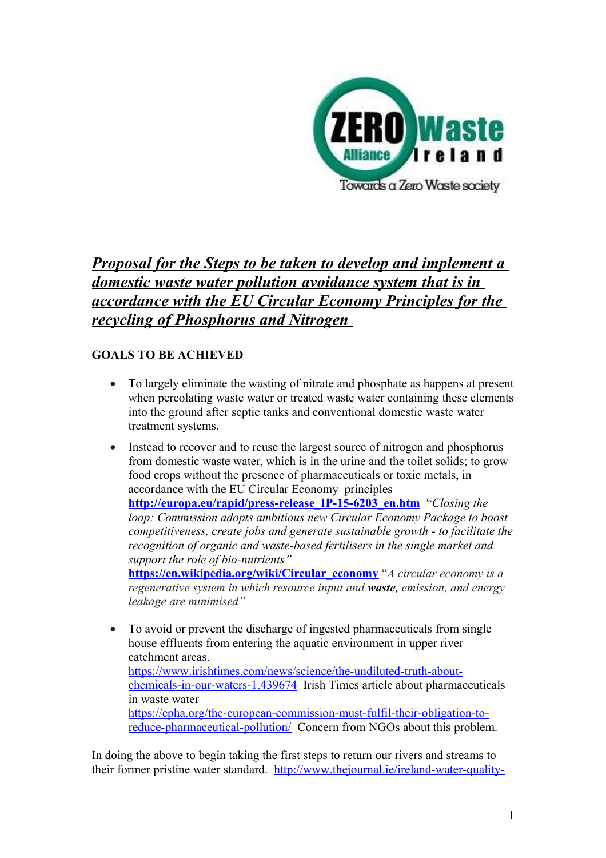

# *Proposal for the Steps to be taken to develop and implement a domestic waste water pollution avoidance system that is in accordance with the EU Circular Economy Principles for the recycling of Phosphorus and Nitrogen*

# **GOALS TO BE ACHIEVED**

- To largely eliminate the wasting of nitrate and phosphate as happens at present when percolating waste water or treated waste water containing these elements into the ground after septic tanks and conventional domestic waste water treatment systems.
- Instead to recover and to reuse the largest source of nitrogen and phosphorus from domestic waste water, which is in the urine and the toilet solids; to grow food crops without the presence of pharmaceuticals or toxic metals, in accordance with the EU Circular Economy principles **[http://europa.eu/rapid/press-release\\_IP-15-6203\\_en.htm](http://europa.eu/rapid/press-release_IP-15-6203_en.htm)** "*Closing the loop: Commission adopts ambitious new Circular Economy Package to boost competitiveness, create jobs and generate sustainable growth - to facilitate the recognition of organic and waste-based fertilisers in the single market and support the role of bio-nutrients"* **[https://en.wikipedia.org/wiki/Circular\\_economy](https://en.wikipedia.org/wiki/Circular_economy)** "*A circular economy is a regenerative system in which resource input and [waste](https://en.wikipedia.org/wiki/Waste_minimisation), emission, and energy leakage are minimised"*
- To avoid or prevent the discharge of ingested pharmaceuticals from single house effluents from entering the aquatic environment in upper river catchment areas. [https://www.irishtimes.com/news/science/the-undiluted-truth-about](https://www.irishtimes.com/news/science/the-undiluted-truth-about-chemicals-in-our-waters-1.439674)[chemicals-in-our-waters-1.439674](https://www.irishtimes.com/news/science/the-undiluted-truth-about-chemicals-in-our-waters-1.439674) Irish Times article about pharmaceuticals in waste water [https://epha.org/the-european-commission-must-fulfil-their-obligation-to](https://epha.org/the-european-commission-must-fulfil-their-obligation-to-reduce-pharmaceutical-pollution/)[reduce-pharmaceutical-pollution/](https://epha.org/the-european-commission-must-fulfil-their-obligation-to-reduce-pharmaceutical-pollution/) Concern from NGOs about this problem.

In doing the above to begin taking the first steps to return our rivers and streams to their former pristine water standard. [http://www.thejournal.ie/ireland-water-quality-](http://www.thejournal.ie/ireland-water-quality-3573358-Aug2017/)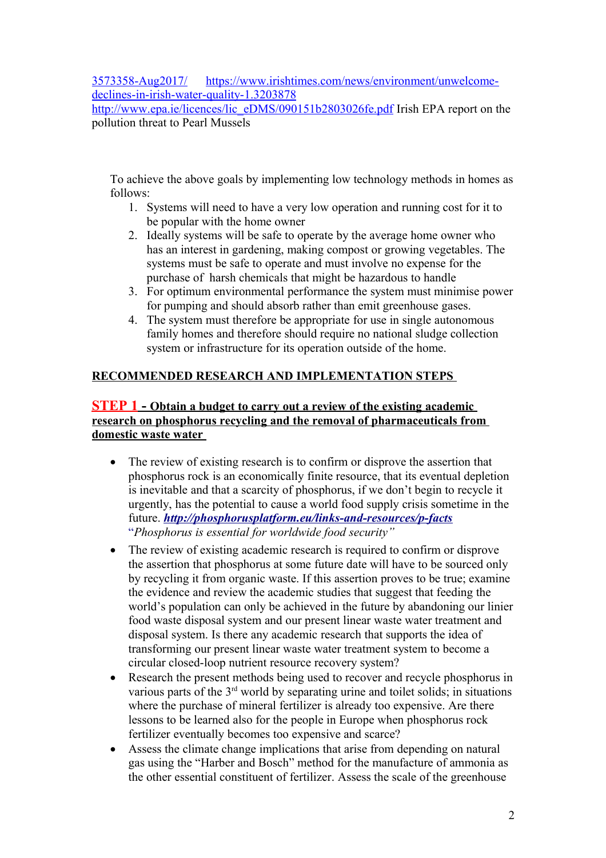[3573358-Aug2017/](http://www.thejournal.ie/ireland-water-quality-3573358-Aug2017/) [https://www.irishtimes.com/news/environment/unwelcome](https://www.irishtimes.com/news/environment/unwelcome-declines-in-irish-water-quality-1.3203878)[declines-in-irish-water-quality-1.3203878](https://www.irishtimes.com/news/environment/unwelcome-declines-in-irish-water-quality-1.3203878) 

[http://www.epa.ie/licences/lic\\_eDMS/090151b2803026fe.pdf](http://www.epa.ie/licences/lic_eDMS/090151b2803026fe.pdf) Irish EPA report on the pollution threat to Pearl Mussels

To achieve the above goals by implementing low technology methods in homes as follows:

- 1. Systems will need to have a very low operation and running cost for it to be popular with the home owner
- 2. Ideally systems will be safe to operate by the average home owner who has an interest in gardening, making compost or growing vegetables. The systems must be safe to operate and must involve no expense for the purchase of harsh chemicals that might be hazardous to handle
- 3. For optimum environmental performance the system must minimise power for pumping and should absorb rather than emit greenhouse gases.
- 4. The system must therefore be appropriate for use in single autonomous family homes and therefore should require no national sludge collection system or infrastructure for its operation outside of the home.

# **RECOMMENDED RESEARCH AND IMPLEMENTATION STEPS**

# **STEP 1 - Obtain a budget to carry out a review of the existing academic research on phosphorus recycling and the removal of pharmaceuticals from domestic waste water**

- The review of existing research is to confirm or disprove the assertion that phosphorus rock is an economically finite resource, that its eventual depletion is inevitable and that a scarcity of phosphorus, if we don't begin to recycle it urgently, has the potential to cause a world food supply crisis sometime in the future. *<http://phosphorusplatform.eu/links-and-resources/p-facts>* "*Phosphorus is essential for worldwide food security"*
- The review of existing academic research is required to confirm or disprove the assertion that phosphorus at some future date will have to be sourced only by recycling it from organic waste. If this assertion proves to be true; examine the evidence and review the academic studies that suggest that feeding the world's population can only be achieved in the future by abandoning our linier food waste disposal system and our present linear waste water treatment and disposal system. Is there any academic research that supports the idea of transforming our present linear waste water treatment system to become a circular closed-loop nutrient resource recovery system?
- Research the present methods being used to recover and recycle phosphorus in various parts of the  $3<sup>rd</sup>$  world by separating urine and toilet solids; in situations where the purchase of mineral fertilizer is already too expensive. Are there lessons to be learned also for the people in Europe when phosphorus rock fertilizer eventually becomes too expensive and scarce?
- Assess the climate change implications that arise from depending on natural gas using the "Harber and Bosch" method for the manufacture of ammonia as the other essential constituent of fertilizer. Assess the scale of the greenhouse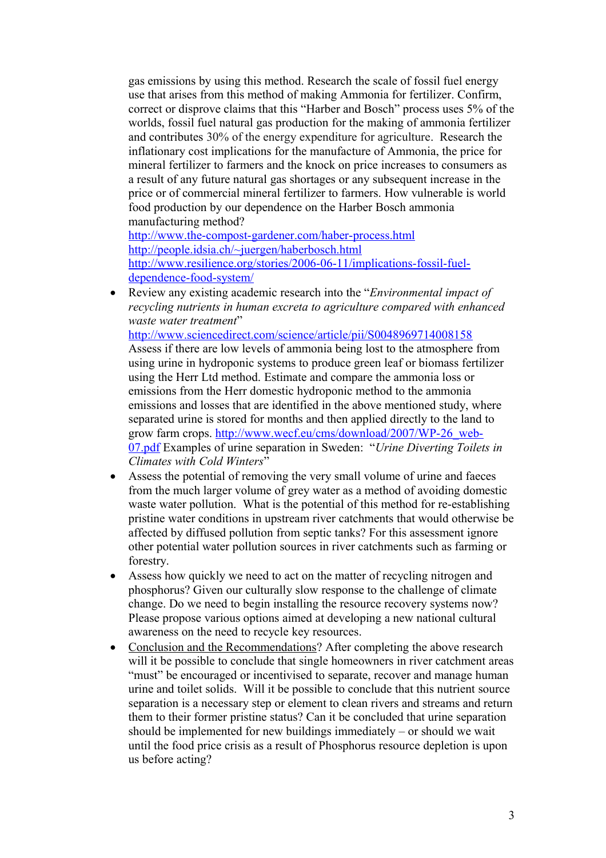gas emissions by using this method. Research the scale of fossil fuel energy use that arises from this method of making Ammonia for fertilizer. Confirm, correct or disprove claims that this "Harber and Bosch" process uses 5% of the worlds, fossil fuel natural gas production for the making of ammonia fertilizer and contributes 30% of the energy expenditure for agriculture. Research the inflationary cost implications for the manufacture of Ammonia, the price for mineral fertilizer to farmers and the knock on price increases to consumers as a result of any future natural gas shortages or any subsequent increase in the price or of commercial mineral fertilizer to farmers. How vulnerable is world food production by our dependence on the Harber Bosch ammonia manufacturing method?

<http://www.the-compost-gardener.com/haber-process.html> <http://people.idsia.ch/~juergen/haberbosch.html> [http://www.resilience.org/stories/2006-06-11/implications-fossil-fuel](http://www.resilience.org/stories/2006-06-11/implications-fossil-fuel-dependence-food-system/)[dependence-food-system/](http://www.resilience.org/stories/2006-06-11/implications-fossil-fuel-dependence-food-system/) 

 Review any existing academic research into the "*Environmental impact of recycling nutrients in human excreta to agriculture compared with enhanced waste water treatment*"

<http://www.sciencedirect.com/science/article/pii/S0048969714008158> Assess if there are low levels of ammonia being lost to the atmosphere from using urine in hydroponic systems to produce green leaf or biomass fertilizer using the Herr Ltd method. Estimate and compare the ammonia loss or emissions from the Herr domestic hydroponic method to the ammonia emissions and losses that are identified in the above mentioned study, where separated urine is stored for months and then applied directly to the land to grow farm crops. [http://www.wecf.eu/cms/download/2007/WP-26\\_web-](http://www.wecf.eu/cms/download/2007/WP-26_web-07.pdf)[07.pdf](http://www.wecf.eu/cms/download/2007/WP-26_web-07.pdf) Examples of urine separation in Sweden: "*Urine Diverting Toilets in* 

*Climates with Cold Winters*"

- Assess the potential of removing the very small volume of urine and faeces from the much larger volume of grey water as a method of avoiding domestic waste water pollution. What is the potential of this method for re-establishing pristine water conditions in upstream river catchments that would otherwise be affected by diffused pollution from septic tanks? For this assessment ignore other potential water pollution sources in river catchments such as farming or forestry.
- Assess how quickly we need to act on the matter of recycling nitrogen and phosphorus? Given our culturally slow response to the challenge of climate change. Do we need to begin installing the resource recovery systems now? Please propose various options aimed at developing a new national cultural awareness on the need to recycle key resources.
- Conclusion and the Recommendations? After completing the above research will it be possible to conclude that single homeowners in river catchment areas "must" be encouraged or incentivised to separate, recover and manage human urine and toilet solids. Will it be possible to conclude that this nutrient source separation is a necessary step or element to clean rivers and streams and return them to their former pristine status? Can it be concluded that urine separation should be implemented for new buildings immediately – or should we wait until the food price crisis as a result of Phosphorus resource depletion is upon us before acting?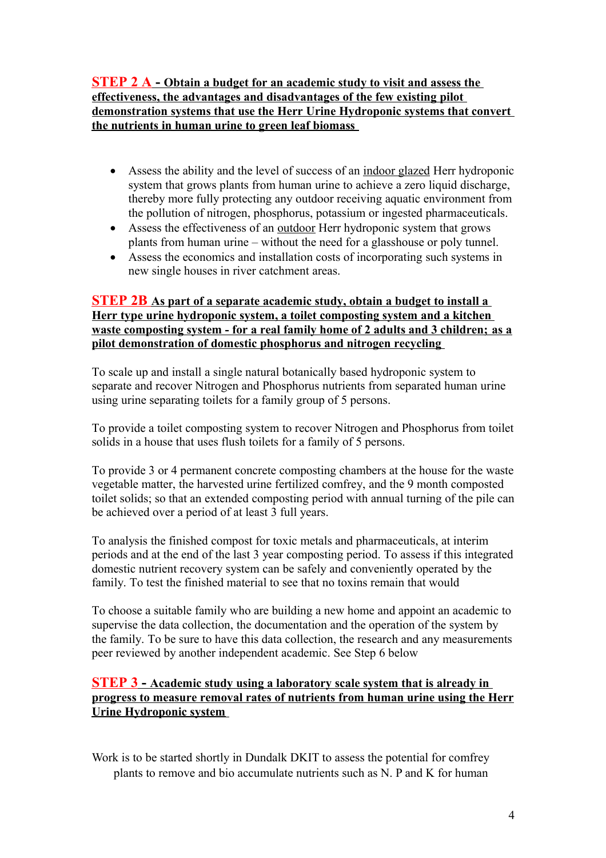**STEP 2 A - Obtain a budget for an academic study to visit and assess the effectiveness, the advantages and disadvantages of the few existing pilot demonstration systems that use the Herr Urine Hydroponic systems that convert the nutrients in human urine to green leaf biomass**

- Assess the ability and the level of success of an indoor glazed Herr hydroponic system that grows plants from human urine to achieve a zero liquid discharge, thereby more fully protecting any outdoor receiving aquatic environment from the pollution of nitrogen, phosphorus, potassium or ingested pharmaceuticals.
- Assess the effectiveness of an outdoor Herr hydroponic system that grows plants from human urine – without the need for a glasshouse or poly tunnel.
- Assess the economics and installation costs of incorporating such systems in new single houses in river catchment areas.

# **STEP 2B As part of a separate academic study, obtain a budget to install a Herr type urine hydroponic system, a toilet composting system and a kitchen waste composting system - for a real family home of 2 adults and 3 children; as a pilot demonstration of domestic phosphorus and nitrogen recycling**

To scale up and install a single natural botanically based hydroponic system to separate and recover Nitrogen and Phosphorus nutrients from separated human urine using urine separating toilets for a family group of 5 persons.

To provide a toilet composting system to recover Nitrogen and Phosphorus from toilet solids in a house that uses flush toilets for a family of 5 persons.

To provide 3 or 4 permanent concrete composting chambers at the house for the waste vegetable matter, the harvested urine fertilized comfrey, and the 9 month composted toilet solids; so that an extended composting period with annual turning of the pile can be achieved over a period of at least 3 full years.

To analysis the finished compost for toxic metals and pharmaceuticals, at interim periods and at the end of the last 3 year composting period. To assess if this integrated domestic nutrient recovery system can be safely and conveniently operated by the family. To test the finished material to see that no toxins remain that would

To choose a suitable family who are building a new home and appoint an academic to supervise the data collection, the documentation and the operation of the system by the family. To be sure to have this data collection, the research and any measurements peer reviewed by another independent academic. See Step 6 below

# **STEP 3 - Academic study using a laboratory scale system that is already in progress to measure removal rates of nutrients from human urine using the Herr Urine Hydroponic system**

Work is to be started shortly in Dundalk DKIT to assess the potential for comfrey plants to remove and bio accumulate nutrients such as N. P and K for human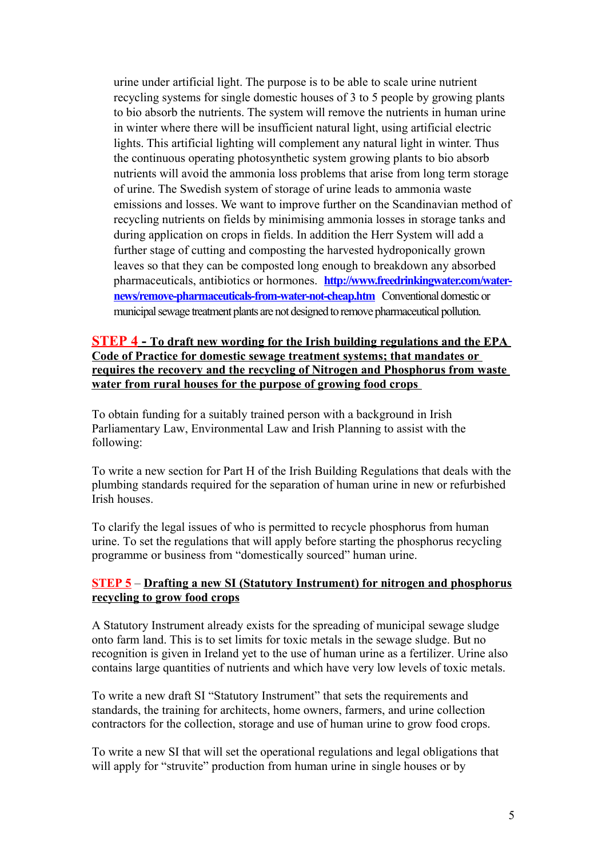urine under artificial light. The purpose is to be able to scale urine nutrient recycling systems for single domestic houses of 3 to 5 people by growing plants to bio absorb the nutrients. The system will remove the nutrients in human urine in winter where there will be insufficient natural light, using artificial electric lights. This artificial lighting will complement any natural light in winter. Thus the continuous operating photosynthetic system growing plants to bio absorb nutrients will avoid the ammonia loss problems that arise from long term storage of urine. The Swedish system of storage of urine leads to ammonia waste emissions and losses. We want to improve further on the Scandinavian method of recycling nutrients on fields by minimising ammonia losses in storage tanks and during application on crops in fields. In addition the Herr System will add a further stage of cutting and composting the harvested hydroponically grown leaves so that they can be composted long enough to breakdown any absorbed pharmaceuticals, antibiotics or hormones. **[http://www.freedrinkingwater.com/water](http://www.freedrinkingwater.com/water-news/remove-pharmaceuticals-from-water-not-cheap.htm)[news/remove-pharmaceuticals-from-water-not-cheap.htm](http://www.freedrinkingwater.com/water-news/remove-pharmaceuticals-from-water-not-cheap.htm)** Conventional domestic or municipal sewage treatment plants are not designed to remove pharmaceutical pollution.

# **STEP 4 - To draft new wording for the Irish building regulations and the EPA Code of Practice for domestic sewage treatment systems; that mandates or requires the recovery and the recycling of Nitrogen and Phosphorus from waste water from rural houses for the purpose of growing food crops**

To obtain funding for a suitably trained person with a background in Irish Parliamentary Law, Environmental Law and Irish Planning to assist with the following:

To write a new section for Part H of the Irish Building Regulations that deals with the plumbing standards required for the separation of human urine in new or refurbished Irish houses.

To clarify the legal issues of who is permitted to recycle phosphorus from human urine. To set the regulations that will apply before starting the phosphorus recycling programme or business from "domestically sourced" human urine.

#### **STEP 5** – **Drafting a new SI (Statutory Instrument) for nitrogen and phosphorus recycling to grow food crops**

A Statutory Instrument already exists for the spreading of municipal sewage sludge onto farm land. This is to set limits for toxic metals in the sewage sludge. But no recognition is given in Ireland yet to the use of human urine as a fertilizer. Urine also contains large quantities of nutrients and which have very low levels of toxic metals.

To write a new draft SI "Statutory Instrument" that sets the requirements and standards, the training for architects, home owners, farmers, and urine collection contractors for the collection, storage and use of human urine to grow food crops.

To write a new SI that will set the operational regulations and legal obligations that will apply for "struvite" production from human urine in single houses or by